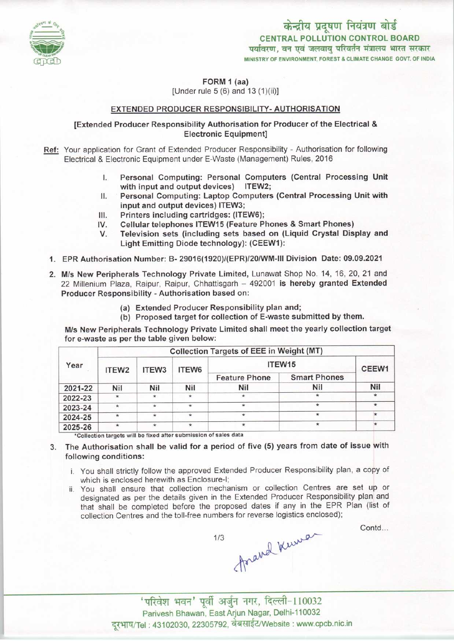

FORM 1 (aa)

[Under rule  $5(6)$  and  $13(1)(ii)$ ]

#### EXTENDED PRODUCER RESPONSIBILITY- AUTHORISATION

### [Extended Producer Responsibility Authorisation for Producer ofthe Electrical & Electronic Equipment]

- Ref: Your application for Grant of Extended Producer Responsibility Authorisation for following Electrical & Electronic Equipment under E-Waste (Management) Rules, 2016
	- I. Personal Computing: Personal Computers (Central Processing Unit with input and output devices) ITEW2;
	- II. Personal Computing: Laptop Computers (Central Processing Unit with input and output devices) ITEW3;
	- III. Printers including cartridges: (ITEW6);<br>IV. Cellular telephones ITEW15 (Feature P)
	- IV. Cellular telephones ITEW15 (Feature Phones & Smart Phones)<br>V. Television sets (including sets based on (Liguid Crystal Dis
	- Television sets (including sets based on (Liquid Crystal Display and Light Emitting Diode technology): (CEEW1):
	- 1.EPR Authorisation Number: B- 29016(1920)/(EPR)/20/WM-III Division Date: 09.09.2021
	- 2. M/s New Peripherals Technology Private Limited, Lunawat Shop No. 14, 16, 20, 21 and 22 Millenium Plaza, Raipur, Raipur, Chhattisgarh - 492001 is hereby granted Extended Producer Responsibility - Authorisation based on:
		- (a)Extended Producer Responsibility plan and;
		- (b) Proposed target for collection of E-waste submitted by them.

M/s New Peripherals Technology Private Limited shall meet the yearly collection target for e-waste as per the table given below:

| Year    | Collection Targets of EEE in Weight (MT) |         |                      |                      |                     |         |
|---------|------------------------------------------|---------|----------------------|----------------------|---------------------|---------|
|         | ITEW <sub>2</sub>                        | ITEW3   | ITEW6                | ITEW15               |                     | CEEW1   |
|         |                                          |         |                      | <b>Feature Phone</b> | <b>Smart Phones</b> |         |
| 2021-22 | Nil                                      | Nil     | Nil                  | Nil                  | Nil                 | Nil     |
| 2022-23 | $\star$                                  | $\star$ | $\star$              | $\star$              | $\star$             | $\star$ |
| 2023-24 | $\star$                                  | $\star$ | $\star$              | $\star$              | ÷                   | $\ast$  |
| 2024-25 | $\star$                                  | $\star$ | $\ddot{\phantom{1}}$ |                      | $\star$             |         |
| 2025-26 | $\star$                                  | $\star$ | $\star$              | $\ast$               |                     |         |

\*Collection targets will be fixed after submission of sales data

# 3. The Authorisation shall be valid for a period of five (5) years from date of issue with following conditions:

- i. You shall strictly follow the approved Extended Producer Responsibility plan, a copy of which is enclosed herewith as Enclosure-I;
- ii. You shall ensure that collection mechanism or collection Centres are set up or designated as per the details given in the Extended Producer Responsibility plan and that shall be completed before the proposed dates if any in the EPR Plan (list of collection Centres and the toll-free numbers for reverse logistics enclosed);

Contd...

<sup>f</sup> ^-l <sup>10032</sup> Parivesh Bhawan, EastArjun Nagar, Delhi-110032 दूरभाष/Tel : 43102030, 22305792, वेबसाईट/Website : www.cpcb.nic.in



1/3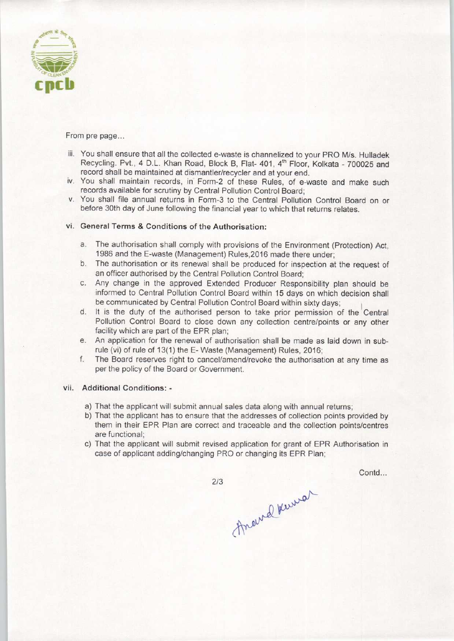

From pre page...

- iii. You shall ensure that all the collected e-waste is channelized to your PRO M/s. Hulladek Recycling. Pvt., 4 D.L. Khan Road, Block B, Flat- 401, 4<sup>th</sup> Floor, Kolkata - 700025 and record shall be maintained at dismantler/recycler and at your end.
- iv. You shall maintain records, in Form-2 of these Rules, of e-waste and make such records available for scrutiny by Central Pollution Control Board;
- v. You shall file annual returns in Form-3 to the Central Pollution Control Board on or before 30th day of June following the financial year to which that returns relates.

## vi. General Terms & Conditions of the Authorisation:

- a. The authorisation shall comply with provisions of the Environment (Protection) Act, 1986 and the E-waste (Management) Rules.2016 made there under;
- b. The authorisation or its renewal shall be produced for inspection at the request of an officer authorised by the Central Pollution Control Board;
- c.Any change in the approved Extended Producer Responsibility plan should be informed to Central Pollution Control Board within 15 days on which decision shall be communicated by Central Pollution Control Board within sixty days; ^
- d. It is the duty of the authorised person to take prior permission of the Central Pollution Control Board to close down any collection centre/points or any other facility which are part of the EPR plan;
- e.An application for the renewal of authorisation shall be made as laid down in subrule (vi) of rule of 13(1) the E- Waste (Management) Rules, 2016;
- f.The Board reserves right to cancel/amend/revoke the authorisation at any time as perthe policy of the Board or Government.

## vii. Additional Conditions: -

- a) That the applicant will submit annual sales data along with annual returns;
- b) That the applicant has to ensure that the addresses of collection points provided by them in their EPR Plan are correct and traceable and the collection points/centres are functional;
- c) That the applicant will submit revised application for grant of EPR Authorisation in case of applicant adding/changing PRO or changing its EPR Plan;

Contd...

 $2/3$ 

Around Kurrer